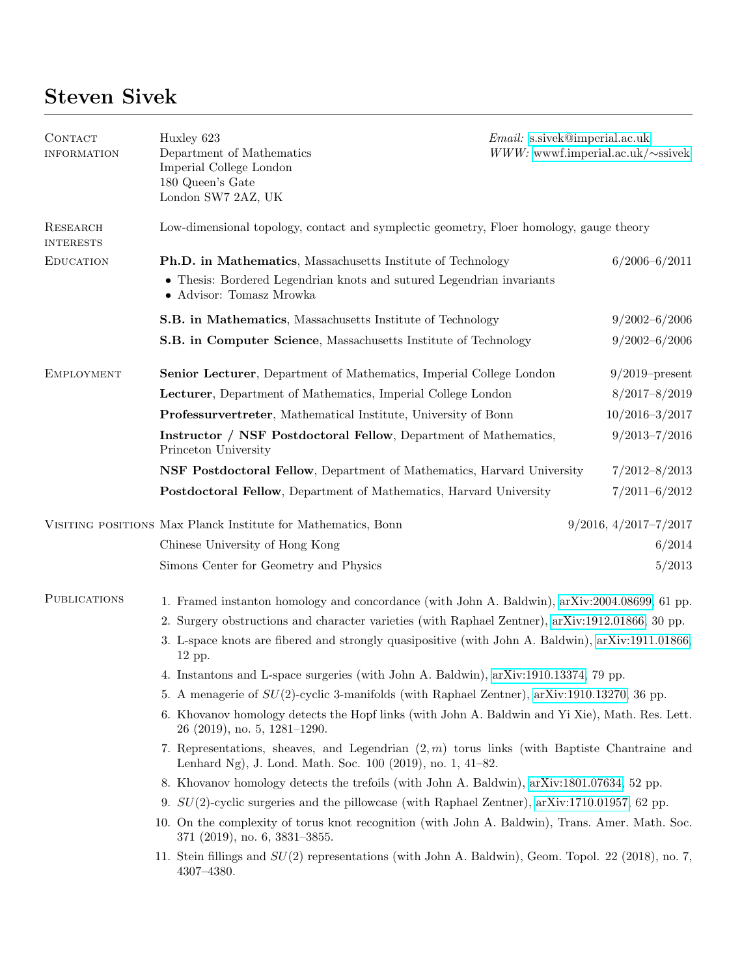## Steven Sivek

| CONTACT<br><b>INFORMATION</b> | Huxley 623<br>Department of Mathematics<br>Imperial College London<br>180 Queen's Gate<br>London SW7 2AZ, UK                                                | <i>Email:</i> s.sivek@imperial.ac.uk<br>$WWW$ : wwwf.imperial.ac.uk/ $\sim$ ssivek |  |
|-------------------------------|-------------------------------------------------------------------------------------------------------------------------------------------------------------|------------------------------------------------------------------------------------|--|
| RESEARCH<br><b>INTERESTS</b>  | Low-dimensional topology, contact and symplectic geometry, Floer homology, gauge theory                                                                     |                                                                                    |  |
| <b>EDUCATION</b>              | Ph.D. in Mathematics, Massachusetts Institute of Technology                                                                                                 | $6/2006 - 6/2011$                                                                  |  |
|                               | • Thesis: Bordered Legendrian knots and sutured Legendrian invariants<br>• Advisor: Tomasz Mrowka                                                           |                                                                                    |  |
|                               | S.B. in Mathematics, Massachusetts Institute of Technology                                                                                                  | $9/2002 - 6/2006$                                                                  |  |
|                               | S.B. in Computer Science, Massachusetts Institute of Technology                                                                                             | $9/2002 - 6/2006$                                                                  |  |
| <b>EMPLOYMENT</b>             | <b>Senior Lecturer</b> , Department of Mathematics, Imperial College London                                                                                 | $9/2019$ -present                                                                  |  |
|                               | Lecturer, Department of Mathematics, Imperial College London                                                                                                | $8/2017 - 8/2019$                                                                  |  |
|                               | Professurvertreter, Mathematical Institute, University of Bonn                                                                                              | $10/2016 - 3/2017$                                                                 |  |
|                               | Instructor / NSF Postdoctoral Fellow, Department of Mathematics,<br>Princeton University                                                                    | $9/2013 - 7/2016$                                                                  |  |
|                               | NSF Postdoctoral Fellow, Department of Mathematics, Harvard University                                                                                      | $7/2012 - 8/2013$                                                                  |  |
|                               | Postdoctoral Fellow, Department of Mathematics, Harvard University                                                                                          | $7/2011 - 6/2012$                                                                  |  |
|                               | VISITING POSITIONS Max Planck Institute for Mathematics, Bonn                                                                                               | $9/2016$ , $4/2017-7/2017$                                                         |  |
|                               | Chinese University of Hong Kong                                                                                                                             | 6/2014                                                                             |  |
|                               | Simons Center for Geometry and Physics                                                                                                                      | 5/2013                                                                             |  |
| <b>PUBLICATIONS</b>           | 1. Framed instanton homology and concordance (with John A. Baldwin), arXiv:2004.08699, 61 pp.                                                               |                                                                                    |  |
|                               | 2. Surgery obstructions and character varieties (with Raphael Zentner), arXiv:1912.01866, 30 pp.                                                            |                                                                                    |  |
|                               | 3. L-space knots are fibered and strongly quasipositive (with John A. Baldwin), arXiv:1911.01866,<br>12 pp.                                                 |                                                                                    |  |
|                               | 4. Instantons and L-space surgeries (with John A. Baldwin), arXiv:1910.13374, 79 pp.                                                                        |                                                                                    |  |
|                               | 5. A menagerie of $SU(2)$ -cyclic 3-manifolds (with Raphael Zentner), arXiv:1910.13270, 36 pp.                                                              |                                                                                    |  |
|                               | 6. Khovanov homology detects the Hopf links (with John A. Baldwin and Yi Xie), Math. Res. Lett.<br>$26$ (2019), no. 5, 1281–1290.                           |                                                                                    |  |
|                               | 7. Representations, sheaves, and Legendrian $(2,m)$ torus links (with Baptiste Chantraine and<br>Lenhard Ng), J. Lond. Math. Soc. 100 (2019), no. 1, 41–82. |                                                                                    |  |
|                               | 8. Khovanov homology detects the trefoils (with John A. Baldwin), arXiv:1801.07634, 52 pp.                                                                  |                                                                                    |  |
|                               | 9. $SU(2)$ -cyclic surgeries and the pillowcase (with Raphael Zentner), arXiv:1710.01957, 62 pp.                                                            |                                                                                    |  |
|                               | 10. On the complexity of torus knot recognition (with John A. Baldwin), Trans. Amer. Math. Soc.<br>$371$ (2019), no. 6, 3831-3855.                          |                                                                                    |  |
|                               | 11. Stein fillings and $SU(2)$ representations (with John A. Baldwin), Geom. Topol. 22 (2018), no. 7,<br>4307-4380.                                         |                                                                                    |  |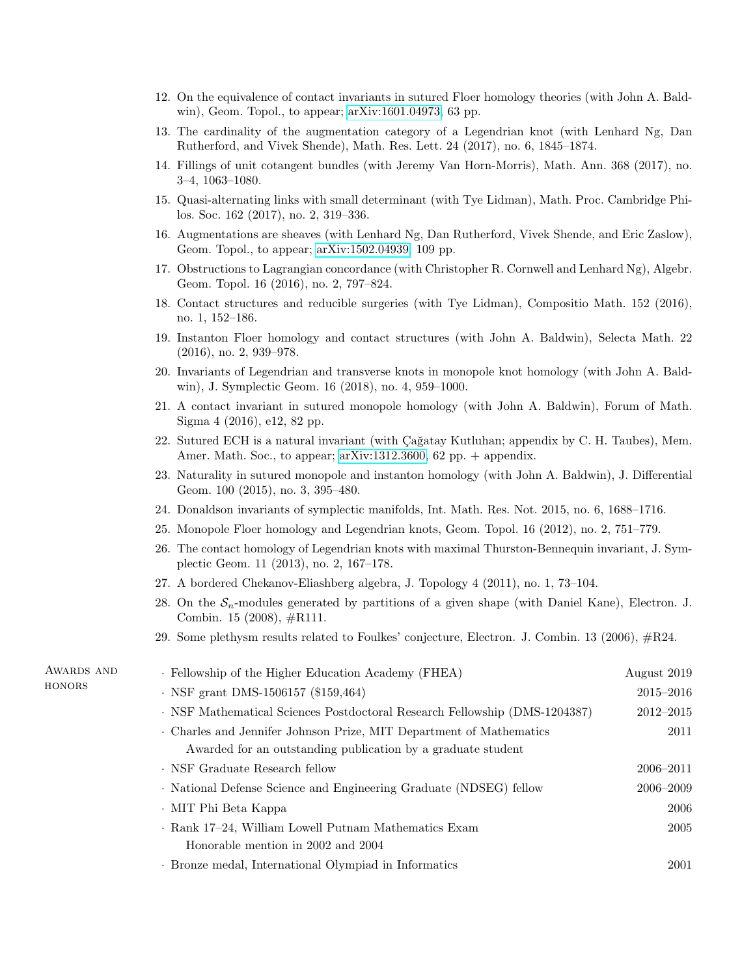- 12. On the equivalence of contact invariants in sutured Floer homology theories (with John A. Baldwin), Geom. Topol., to appear; [arXiv:1601.04973,](http://arxiv.org/abs/1601.04973) 63 pp.
- 13. The cardinality of the augmentation category of a Legendrian knot (with Lenhard Ng, Dan Rutherford, and Vivek Shende), Math. Res. Lett. 24 (2017), no. 6, 1845–1874.
- 14. Fillings of unit cotangent bundles (with Jeremy Van Horn-Morris), Math. Ann. 368 (2017), no. 3–4, 1063–1080.
- 15. Quasi-alternating links with small determinant (with Tye Lidman), Math. Proc. Cambridge Philos. Soc. 162 (2017), no. 2, 319–336.
- 16. Augmentations are sheaves (with Lenhard Ng, Dan Rutherford, Vivek Shende, and Eric Zaslow), Geom. Topol., to appear; [arXiv:1502.04939,](http://arxiv.org/abs/1502.04939) 109 pp.
- 17. Obstructions to Lagrangian concordance (with Christopher R. Cornwell and Lenhard Ng), Algebr. Geom. Topol. 16 (2016), no. 2, 797–824.
- 18. Contact structures and reducible surgeries (with Tye Lidman), Compositio Math. 152 (2016), no. 1, 152–186.
- 19. Instanton Floer homology and contact structures (with John A. Baldwin), Selecta Math. 22 (2016), no. 2, 939–978.
- 20. Invariants of Legendrian and transverse knots in monopole knot homology (with John A. Baldwin), J. Symplectic Geom. 16 (2018), no. 4, 959–1000.
- 21. A contact invariant in sutured monopole homology (with John A. Baldwin), Forum of Math. Sigma 4 (2016), e12, 82 pp.
- 22. Sutured ECH is a natural invariant (with Cağatay Kutluhan; appendix by C. H. Taubes), Mem. Amer. Math. Soc., to appear; [arXiv:1312.3600,](http://arxiv.org/abs/1312.3600) 62 pp.  $+$  appendix.
- 23. Naturality in sutured monopole and instanton homology (with John A. Baldwin), J. Differential Geom. 100 (2015), no. 3, 395–480.
- 24. Donaldson invariants of symplectic manifolds, Int. Math. Res. Not. 2015, no. 6, 1688–1716.
- 25. Monopole Floer homology and Legendrian knots, Geom. Topol. 16 (2012), no. 2, 751–779.
- 26. The contact homology of Legendrian knots with maximal Thurston-Bennequin invariant, J. Symplectic Geom. 11 (2013), no. 2, 167–178.
- 27. A bordered Chekanov-Eliashberg algebra, J. Topology 4 (2011), no. 1, 73–104.
- 28. On the  $S_n$ -modules generated by partitions of a given shape (with Daniel Kane), Electron. J. Combin. 15 (2008), #R111.
- 29. Some plethysm results related to Foulkes' conjecture, Electron. J. Combin. 13 (2006), #R24.

| AWARDS AND<br>HONORS | · Fellowship of the Higher Education Academy (FHEA)                                                                               | August 2019   |
|----------------------|-----------------------------------------------------------------------------------------------------------------------------------|---------------|
|                      | $\cdot$ NSF grant DMS-1506157 (\$159,464)                                                                                         | $2015 - 2016$ |
|                      | · NSF Mathematical Sciences Postdoctoral Research Fellowship (DMS-1204387)                                                        | $2012 - 2015$ |
|                      | Charles and Jennifer Johnson Prize, MIT Department of Mathematics<br>Awarded for an outstanding publication by a graduate student | 2011          |
|                      | · NSF Graduate Research fellow                                                                                                    | $2006 - 2011$ |
|                      | · National Defense Science and Engineering Graduate (NDSEG) fellow                                                                | $2006 - 2009$ |
|                      | · MIT Phi Beta Kappa                                                                                                              | 2006          |
|                      | ⋅ Rank 17–24, William Lowell Putnam Mathematics Exam                                                                              | 2005          |
|                      | Honorable mention in 2002 and 2004                                                                                                |               |
|                      | · Bronze medal, International Olympiad in Informatics                                                                             | 2001          |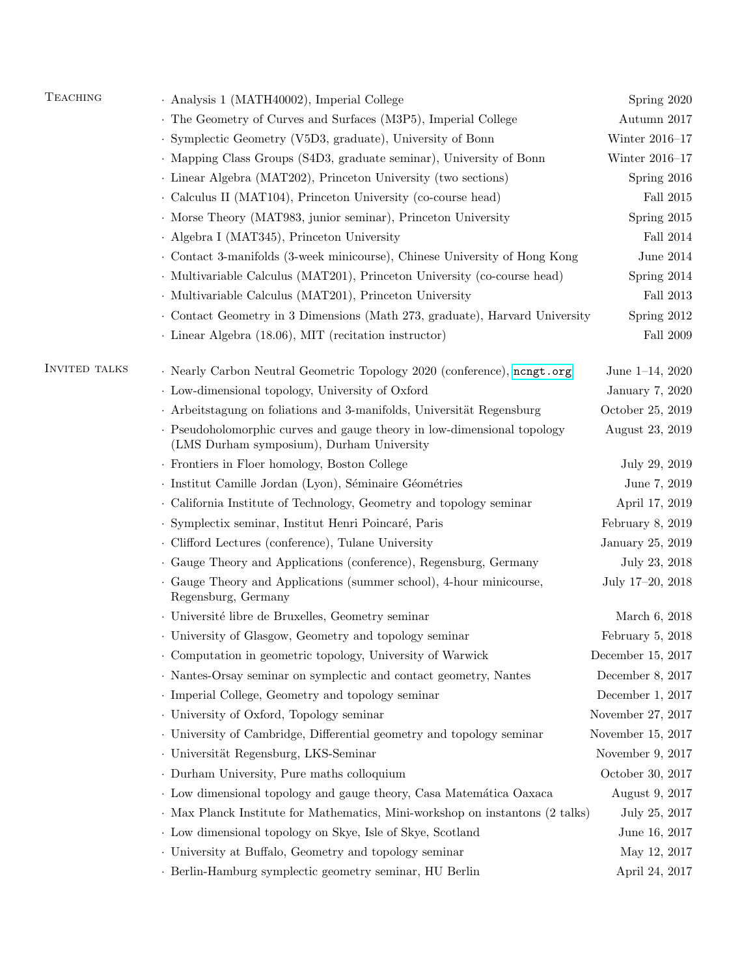| <b>TEACHING</b>      | · Analysis 1 (MATH40002), Imperial College                                                                           | Spring 2020          |
|----------------------|----------------------------------------------------------------------------------------------------------------------|----------------------|
|                      | . The Geometry of Curves and Surfaces (M3P5), Imperial College                                                       | Autumn 2017          |
|                      | · Symplectic Geometry (V5D3, graduate), University of Bonn                                                           | Winter $2016-17$     |
|                      | • Mapping Class Groups (S4D3, graduate seminar), University of Bonn                                                  | Winter 2016-17       |
|                      | · Linear Algebra (MAT202), Princeton University (two sections)                                                       | Spring 2016          |
|                      | Calculus II (MAT104), Princeton University (co-course head)                                                          | Fall $2015\,$        |
|                      | · Morse Theory (MAT983, junior seminar), Princeton University                                                        | Spring 2015          |
|                      | · Algebra I (MAT345), Princeton University                                                                           | Fall 2014            |
|                      | Contact 3-manifolds (3-week minicourse), Chinese University of Hong Kong                                             | June $2014$          |
|                      | · Multivariable Calculus (MAT201), Princeton University (co-course head)                                             | Spring 2014          |
|                      | · Multivariable Calculus (MAT201), Princeton University                                                              | Fall 2013            |
|                      | Contact Geometry in 3 Dimensions (Math 273, graduate), Harvard University                                            | Spring 2012          |
|                      | · Linear Algebra (18.06), MIT (recitation instructor)                                                                | Fall 2009            |
| <b>INVITED TALKS</b> | · Nearly Carbon Neutral Geometric Topology 2020 (conference), nengt.org                                              | June $1-14$ , $2020$ |
|                      | · Low-dimensional topology, University of Oxford                                                                     | January 7, 2020      |
|                      | · Arbeitstagung on foliations and 3-manifolds, Universität Regensburg                                                | October 25, 2019     |
|                      | · Pseudoholomorphic curves and gauge theory in low-dimensional topology<br>(LMS Durham symposium), Durham University | August 23, 2019      |
|                      | · Frontiers in Floer homology, Boston College                                                                        | July 29, 2019        |
|                      | · Institut Camille Jordan (Lyon), Séminaire Géométries                                                               | June 7, 2019         |
|                      | · California Institute of Technology, Geometry and topology seminar                                                  | April 17, 2019       |
|                      | · Symplectix seminar, Institut Henri Poincaré, Paris                                                                 | February 8, 2019     |
|                      | Clifford Lectures (conference), Tulane University                                                                    | January 25, 2019     |
|                      | Gauge Theory and Applications (conference), Regensburg, Germany                                                      | July 23, 2018        |
|                      | · Gauge Theory and Applications (summer school), 4-hour minicourse,<br>Regensburg, Germany                           | July 17-20, 2018     |
|                      | · Université libre de Bruxelles, Geometry seminar                                                                    | March 6, 2018        |
|                      | · University of Glasgow, Geometry and topology seminar                                                               | February $5, 2018$   |
|                      | Computation in geometric topology, University of Warwick                                                             | December 15, 2017    |
|                      | · Nantes-Orsay seminar on symplectic and contact geometry, Nantes                                                    | December 8, 2017     |
|                      | · Imperial College, Geometry and topology seminar                                                                    | December 1, 2017     |
|                      | · University of Oxford, Topology seminar                                                                             | November 27, 2017    |
|                      | . University of Cambridge, Differential geometry and topology seminar                                                | November 15, 2017    |
|                      | · Universität Regensburg, LKS-Seminar                                                                                | November 9, 2017     |
|                      | · Durham University, Pure maths colloquium                                                                           | October 30, 2017     |
|                      | · Low dimensional topology and gauge theory, Casa Matemática Oaxaca                                                  | August 9, 2017       |
|                      | · Max Planck Institute for Mathematics, Mini-workshop on instantons (2 talks)                                        | July 25, 2017        |
|                      | · Low dimensional topology on Skye, Isle of Skye, Scotland                                                           | June 16, 2017        |
|                      | . University at Buffalo, Geometry and topology seminar                                                               | May 12, 2017         |
|                      | · Berlin-Hamburg symplectic geometry seminar, HU Berlin                                                              | April 24, 2017       |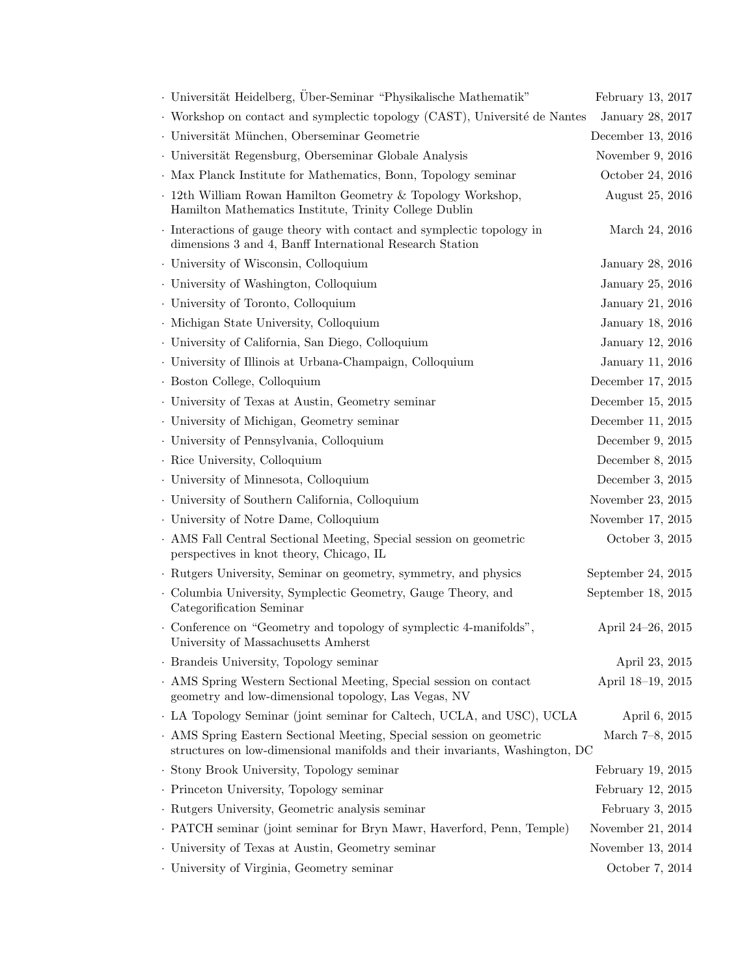| · Universität Heidelberg, Über-Seminar "Physikalische Mathematik"                                                                                    | February 13, 2017  |
|------------------------------------------------------------------------------------------------------------------------------------------------------|--------------------|
| · Workshop on contact and symplectic topology (CAST), Université de Nantes                                                                           | January 28, 2017   |
| · Universität München, Oberseminar Geometrie                                                                                                         | December 13, 2016  |
| · Universität Regensburg, Oberseminar Globale Analysis                                                                                               | November 9, 2016   |
| . Max Planck Institute for Mathematics, Bonn, Topology seminar                                                                                       | October 24, 2016   |
| . 12th William Rowan Hamilton Geometry & Topology Workshop,<br>Hamilton Mathematics Institute, Trinity College Dublin                                | August 25, 2016    |
| Interactions of gauge theory with contact and symplectic topology in<br>dimensions 3 and 4, Banff International Research Station                     | March 24, 2016     |
| · University of Wisconsin, Colloquium                                                                                                                | January 28, 2016   |
| . University of Washington, Colloquium                                                                                                               | January 25, 2016   |
| · University of Toronto, Colloquium                                                                                                                  | January 21, 2016   |
| · Michigan State University, Colloquium                                                                                                              | January 18, 2016   |
| · University of California, San Diego, Colloquium                                                                                                    | January 12, 2016   |
| · University of Illinois at Urbana-Champaign, Colloquium                                                                                             | January 11, 2016   |
| · Boston College, Colloquium                                                                                                                         | December 17, 2015  |
| . University of Texas at Austin, Geometry seminar                                                                                                    | December 15, 2015  |
| . University of Michigan, Geometry seminar                                                                                                           | December 11, 2015  |
| · University of Pennsylvania, Colloquium                                                                                                             | December 9, 2015   |
| · Rice University, Colloquium                                                                                                                        | December 8, 2015   |
| · University of Minnesota, Colloquium                                                                                                                | December 3, 2015   |
| · University of Southern California, Colloquium                                                                                                      | November 23, 2015  |
| . University of Notre Dame, Colloquium                                                                                                               | November 17, 2015  |
| . AMS Fall Central Sectional Meeting, Special session on geometric<br>perspectives in knot theory, Chicago, IL                                       | October 3, 2015    |
| · Rutgers University, Seminar on geometry, symmetry, and physics                                                                                     | September 24, 2015 |
| · Columbia University, Symplectic Geometry, Gauge Theory, and<br>Categorification Seminar                                                            | September 18, 2015 |
| Conference on "Geometry and topology of symplectic 4-manifolds",<br>University of Massachusetts Amherst                                              | April 24–26, 2015  |
| · Brandeis University, Topology seminar                                                                                                              | April 23, 2015     |
| . AMS Spring Western Sectional Meeting, Special session on contact<br>geometry and low-dimensional topology, Las Vegas, NV                           | April 18-19, 2015  |
| LA Topology Seminar (joint seminar for Caltech, UCLA, and USC), UCLA                                                                                 | April 6, 2015      |
| . AMS Spring Eastern Sectional Meeting, Special session on geometric<br>structures on low-dimensional manifolds and their invariants, Washington, DC | March 7-8, 2015    |
| · Stony Brook University, Topology seminar                                                                                                           | February 19, 2015  |
| · Princeton University, Topology seminar                                                                                                             | February 12, 2015  |
| · Rutgers University, Geometric analysis seminar                                                                                                     | February $3, 2015$ |
| • PATCH seminar (joint seminar for Bryn Mawr, Haverford, Penn, Temple)                                                                               | November 21, 2014  |
| . University of Texas at Austin, Geometry seminar                                                                                                    | November 13, 2014  |
| . University of Virginia, Geometry seminar                                                                                                           | October 7, 2014    |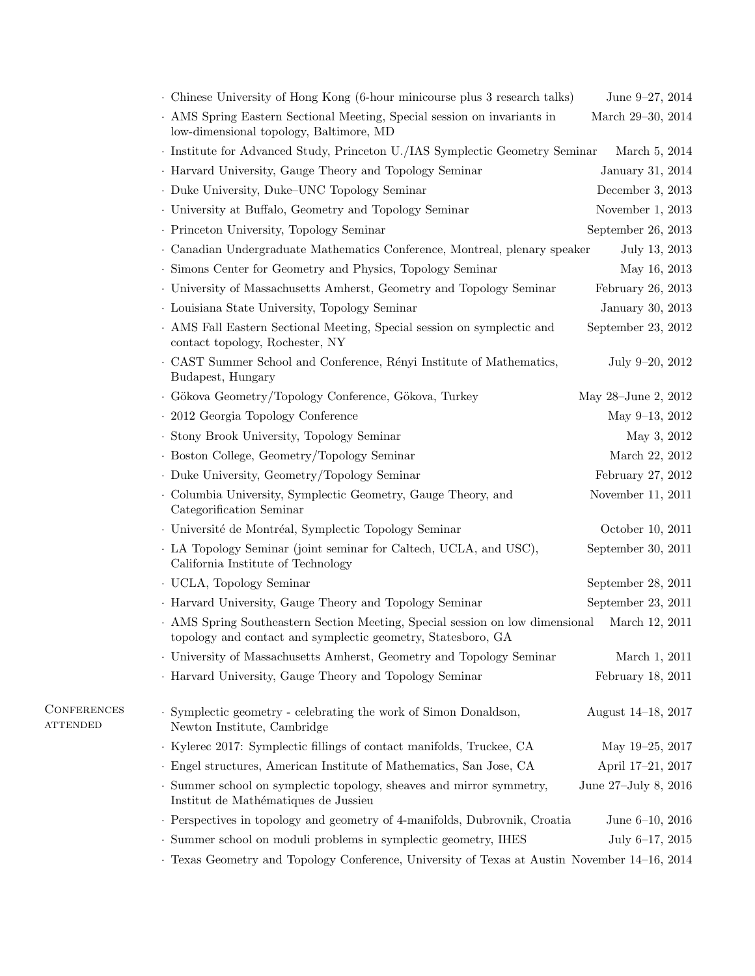| Chinese University of Hong Kong (6-hour minicourse plus 3 research talks)                                                                     | June 9-27, 2014      |
|-----------------------------------------------------------------------------------------------------------------------------------------------|----------------------|
| . AMS Spring Eastern Sectional Meeting, Special session on invariants in<br>low-dimensional topology, Baltimore, MD                           | March 29–30, 2014    |
| · Institute for Advanced Study, Princeton U./IAS Symplectic Geometry Seminar                                                                  | March 5, 2014        |
| · Harvard University, Gauge Theory and Topology Seminar                                                                                       | January 31, 2014     |
| . Duke University, Duke-UNC Topology Seminar                                                                                                  | December 3, 2013     |
| . University at Buffalo, Geometry and Topology Seminar                                                                                        | November 1, 2013     |
| · Princeton University, Topology Seminar                                                                                                      | September 26, 2013   |
| · Canadian Undergraduate Mathematics Conference, Montreal, plenary speaker                                                                    | July 13, 2013        |
| . Simons Center for Geometry and Physics, Topology Seminar                                                                                    | May 16, 2013         |
| . University of Massachusetts Amherst, Geometry and Topology Seminar                                                                          | February 26, 2013    |
| · Louisiana State University, Topology Seminar                                                                                                | January 30, 2013     |
| . AMS Fall Eastern Sectional Meeting, Special session on symplectic and<br>contact topology, Rochester, NY                                    | September 23, 2012   |
| CAST Summer School and Conference, Rényi Institute of Mathematics,<br>Budapest, Hungary                                                       | July 9-20, 2012      |
| · Gökova Geometry/Topology Conference, Gökova, Turkey                                                                                         | May 28-June 2, 2012  |
| · 2012 Georgia Topology Conference                                                                                                            | May 9-13, 2012       |
| · Stony Brook University, Topology Seminar                                                                                                    | May 3, 2012          |
| · Boston College, Geometry/Topology Seminar                                                                                                   | March 22, 2012       |
| • Duke University, Geometry/Topology Seminar                                                                                                  | February 27, 2012    |
| • Columbia University, Symplectic Geometry, Gauge Theory, and<br>Categorification Seminar                                                     | November 11, 2011    |
| · Université de Montréal, Symplectic Topology Seminar                                                                                         | October 10, 2011     |
| LA Topology Seminar (joint seminar for Caltech, UCLA, and USC),<br>California Institute of Technology                                         | September 30, 2011   |
| · UCLA, Topology Seminar                                                                                                                      | September 28, 2011   |
| • Harvard University, Gauge Theory and Topology Seminar                                                                                       | September 23, 2011   |
| . AMS Spring Southeastern Section Meeting, Special session on low dimensional<br>topology and contact and symplectic geometry, Statesboro, GA | March 12, 2011       |
| · University of Massachusetts Amherst, Geometry and Topology Seminar                                                                          | March 1, 2011        |
| · Harvard University, Gauge Theory and Topology Seminar                                                                                       | February 18, 2011    |
| · Symplectic geometry - celebrating the work of Simon Donaldson,<br>Newton Institute, Cambridge                                               | August 14–18, 2017   |
| · Kylerec 2017: Symplectic fillings of contact manifolds, Truckee, CA                                                                         | May 19-25, 2017      |
| · Engel structures, American Institute of Mathematics, San Jose, CA                                                                           | April 17-21, 2017    |
| · Summer school on symplectic topology, sheaves and mirror symmetry,<br>Institut de Mathématiques de Jussieu                                  | June 27-July 8, 2016 |
| · Perspectives in topology and geometry of 4-manifolds, Dubrovnik, Croatia                                                                    | June $6-10$ , $2016$ |
| · Summer school on moduli problems in symplectic geometry, IHES                                                                               | July 6-17, 2015      |
| Exas Geometry and Topology Conference, University of Texas at Austin November 14–16, 2014                                                     |                      |

 ${\bf CONFERENCES}$  $\mathtt{ATTENDED}$